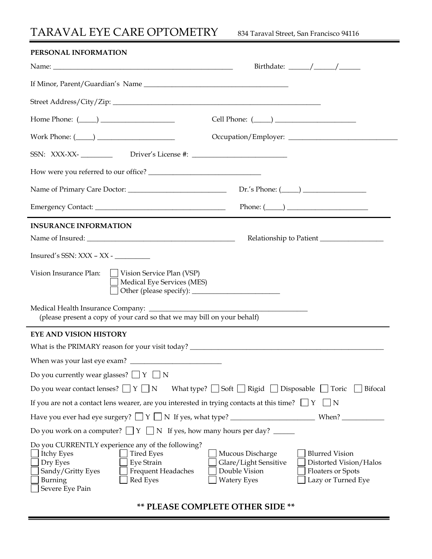## TARAVAL EYE CARE OPTOMETRY834 Taraval Street, San Francisco 94116

| PERSONAL INFORMATION                                                                                                                                                                                |                                                                                                                                                                                |
|-----------------------------------------------------------------------------------------------------------------------------------------------------------------------------------------------------|--------------------------------------------------------------------------------------------------------------------------------------------------------------------------------|
|                                                                                                                                                                                                     | Birthdate: $\frac{\sqrt{2}}{2}$                                                                                                                                                |
|                                                                                                                                                                                                     |                                                                                                                                                                                |
|                                                                                                                                                                                                     |                                                                                                                                                                                |
| Home Phone: $(\_\_)$                                                                                                                                                                                |                                                                                                                                                                                |
| Work Phone: $(\_\_)$                                                                                                                                                                                |                                                                                                                                                                                |
| SSN: XXX-XX-_____________ Driver's License #: __________________________________                                                                                                                    |                                                                                                                                                                                |
|                                                                                                                                                                                                     |                                                                                                                                                                                |
|                                                                                                                                                                                                     |                                                                                                                                                                                |
|                                                                                                                                                                                                     | Phone: $(\_\_)$                                                                                                                                                                |
| <b>INSURANCE INFORMATION</b>                                                                                                                                                                        |                                                                                                                                                                                |
|                                                                                                                                                                                                     | Relationship to Patient                                                                                                                                                        |
|                                                                                                                                                                                                     |                                                                                                                                                                                |
| Vision Insurance Plan:     Vision Service Plan (VSP)<br>Medical Eye Services (MES)                                                                                                                  |                                                                                                                                                                                |
| (please present a copy of your card so that we may bill on your behalf)                                                                                                                             |                                                                                                                                                                                |
| <b>EYE AND VISION HISTORY</b>                                                                                                                                                                       |                                                                                                                                                                                |
|                                                                                                                                                                                                     |                                                                                                                                                                                |
|                                                                                                                                                                                                     |                                                                                                                                                                                |
| Do you currently wear glasses? $\Box Y \Box N$                                                                                                                                                      |                                                                                                                                                                                |
| Do you wear contact lenses? $\Box Y \Box N$                                                                                                                                                         | What type? $\Box$ Soft $\Box$ Rigid $\Box$ Disposable $\Box$ Toric $\Box$ Bifocal                                                                                              |
| If you are not a contact lens wearer, are you interested in trying contacts at this time? $\Box Y \Box N$                                                                                           |                                                                                                                                                                                |
|                                                                                                                                                                                                     |                                                                                                                                                                                |
| Do you work on a computer? $\Box Y \Box N$ If yes, how many hours per day? ______                                                                                                                   |                                                                                                                                                                                |
| Do you CURRENTLY experience any of the following?<br>Itchy Eyes<br><b>Tired Eyes</b><br>Eye Strain<br>Dry Eyes<br>Sandy/Gritty Eyes<br>Frequent Headaches<br>Red Eyes<br>Burning<br>Severe Eye Pain | Mucous Discharge<br><b>Blurred Vision</b><br>Glare/Light Sensitive<br>Distorted Vision/Halos<br>Double Vision<br>Floaters or Spots<br>Lazy or Turned Eye<br><b>Watery Eyes</b> |

**\*\* PLEASE COMPLETE OTHER SIDE \*\***